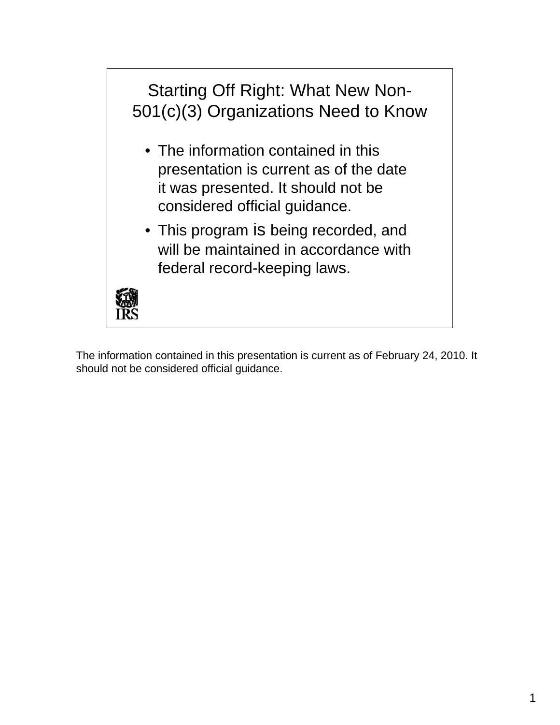

The information contained in this presentation is current as of February 24, 2010. It should not be considered official guidance.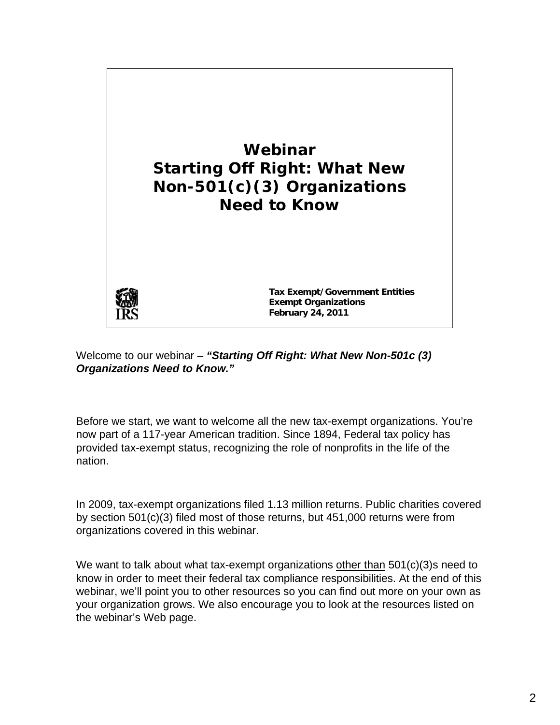

#### Welcome to our webinar – *"Starting Off Right: What New Non-501c (3) Organizations Need to Know."*

Before we start, we want to welcome all the new tax-exempt organizations. You're now part of a 117-year American tradition. Since 1894, Federal tax policy has provided tax-exempt status, recognizing the role of nonprofits in the life of the nation.

In 2009, tax-exempt organizations filed 1.13 million returns. Public charities covered by section 501(c)(3) filed most of those returns, but 451,000 returns were from organizations covered in this webinar.

We want to talk about what tax-exempt organizations other than 501(c)(3)s need to know in order to meet their federal tax compliance responsibilities. At the end of this webinar, we'll point you to other resources so you can find out more on your own as your organization grows. We also encourage you to look at the resources listed on the webinar's Web page.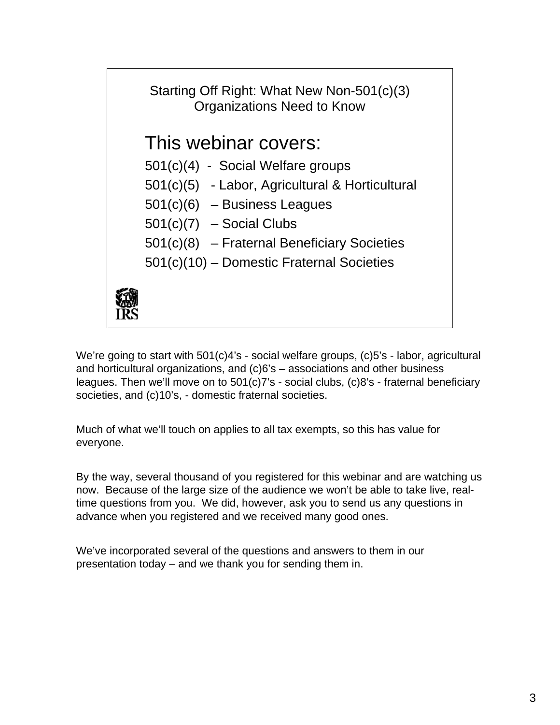

We're going to start with 501(c)4's - social welfare groups, (c)5's - labor, agricultural and horticultural organizations, and (c)6's – associations and other business leagues. Then we'll move on to 501(c)7's - social clubs, (c)8's - fraternal beneficiary societies, and (c)10's, - domestic fraternal societies.

Much of what we'll touch on applies to all tax exempts, so this has value for everyone.

By the way, several thousand of you registered for this webinar and are watching us now. Because of the large size of the audience we won't be able to take live, realtime questions from you. We did, however, ask you to send us any questions in advance when you registered and we received many good ones.

We've incorporated several of the questions and answers to them in our presentation today – and we thank you for sending them in.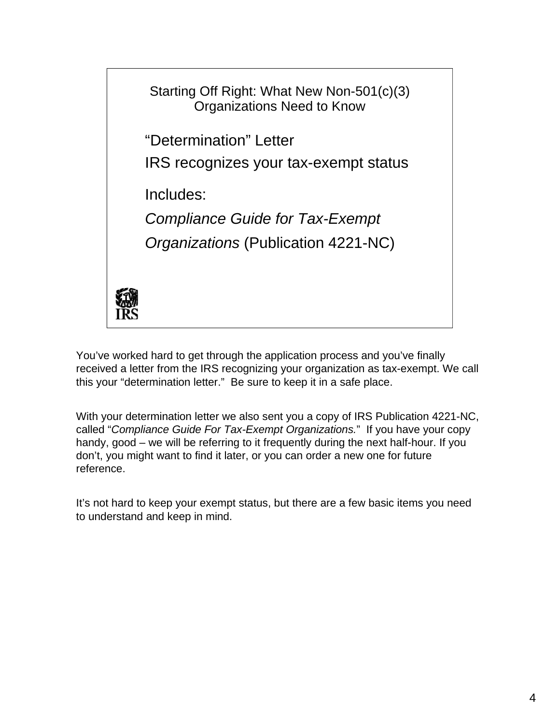

You've worked hard to get through the application process and you've finally received a letter from the IRS recognizing your organization as tax-exempt. We call this your "determination letter." Be sure to keep it in a safe place.

With your determination letter we also sent you a copy of IRS Publication 4221-NC, called "*Compliance Guide For Tax-Exempt Organizations.*" If you have your copy handy, good – we will be referring to it frequently during the next half-hour. If you don't, you might want to find it later, or you can order a new one for future reference.

It's not hard to keep your exempt status, but there are a few basic items you need to understand and keep in mind.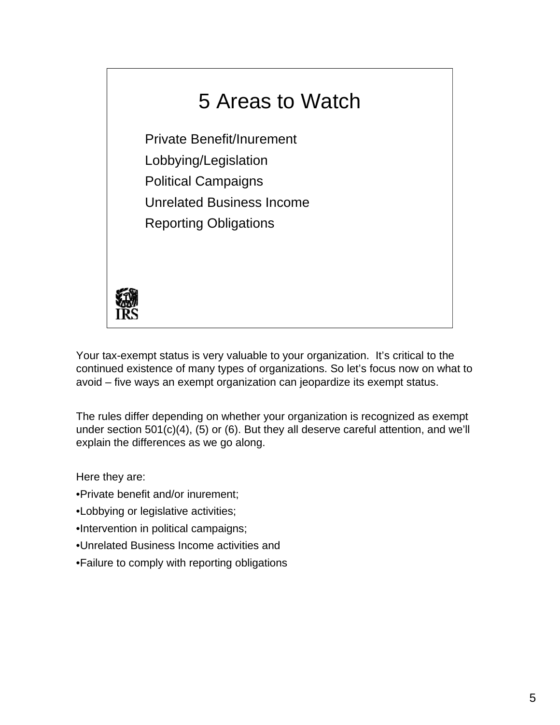

Your tax-exempt status is very valuable to your organization. It's critical to the continued existence of many types of organizations. So let's focus now on what to avoid – five ways an exempt organization can jeopardize its exempt status.

The rules differ depending on whether your organization is recognized as exempt under section 501(c)(4), (5) or (6). But they all deserve careful attention, and we'll explain the differences as we go along.

Here they are:

- •Private benefit and/or inurement;
- •Lobbying or legislative activities;
- •Intervention in political campaigns;
- •Unrelated Business Income activities and
- •Failure to comply with reporting obligations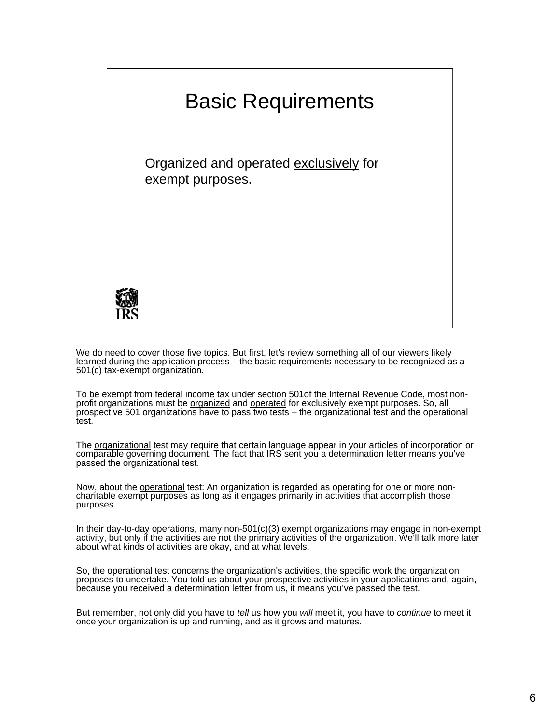

We do need to cover those five topics. But first, let's review something all of our viewers likely learned during the application process – the basic requirements necessary to be recognized as a 501(c) tax-exempt organization.

 prospective 501 organizations have to pass two tests – the organizational test and the operational To be exempt from federal income tax under section 501of the Internal Revenue Code, most non-<br>profit organizations must be <u>organized</u> and <u>operated</u> for exclusively exempt purposes. So, all test.

The <u>organizational</u> test may require that certain language appear in your articles of incorporation or comparable governing document. The fact that IRS sent you a determination letter means you've passed the organizational test.

 charitable exempt purposes as long as it engages primarily in activities that accomplish those Now, about the **operational** test: An organization is regarded as operating for one or more nonpurposes.

 about what kinds of activities are okay, and at what levels. In their day-to-day operations, many non-501(c)(3) exempt organizations may engage in non-exempt activity, but only if the activities are not the *primary* activities of the organization. We'll talk more later

 proposes to undertake. You told us about your prospective activities in your applications and, again, So, the operational test concerns the organization's activities, the specific work the organization because you received a determination letter from us, it means you've passed the test.

But remember, not only did you have to *tell* us how you *will* meet it, you have to *continue* to meet it once your organization is up and running, and as it grows and matures.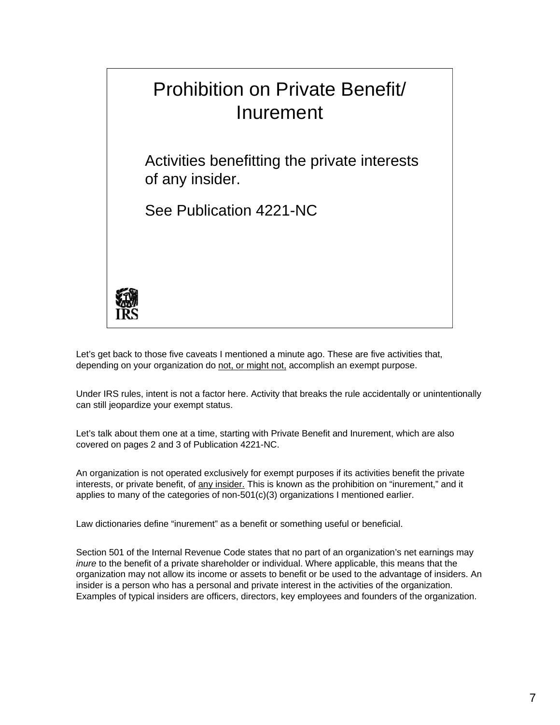

Let's get back to those five caveats I mentioned a minute ago. These are five activities that, depending on your organization do not, or might not, accomplish an exempt purpose.

Under IRS rules, intent is not a factor here. Activity that breaks the rule accidentally or unintentionally can still jeopardize your exempt status.

 Let's talk about them one at a time, starting with Private Benefit and Inurement, which are also covered on pages 2 and 3 of Publication 4221-NC.

An organization is not operated exclusively for exempt purposes if its activities benefit the private interests, or private benefit, of any insider. This is known as the prohibition on "inurement," and it applies to many of the categories of non-501(c)(3) organizations I mentioned earlier.

Law dictionaries define "inurement" as a benefit or something useful or beneficial.

 Section 501 of the Internal Revenue Code states that no part of an organization's net earnings may organization may not allow its income or assets to benefit or be used to the advantage of insiders. An insider is a person who has a personal and private interest in the activities of the organization. *inure* to the benefit of a private shareholder or individual. Where applicable, this means that the Examples of typical insiders are officers, directors, key employees and founders of the organization.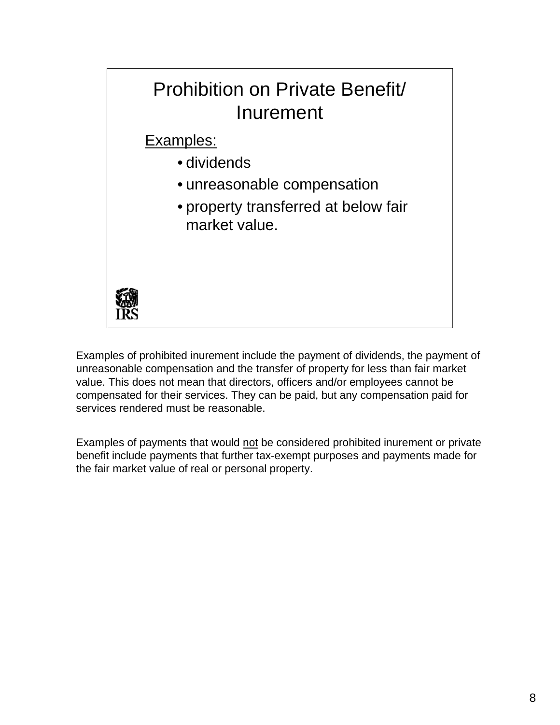

Examples of prohibited inurement include the payment of dividends, the payment of unreasonable compensation and the transfer of property for less than fair market value. This does not mean that directors, officers and/or employees cannot be compensated for their services. They can be paid, but any compensation paid for services rendered must be reasonable.

Examples of payments that would not be considered prohibited inurement or private benefit include payments that further tax-exempt purposes and payments made for the fair market value of real or personal property.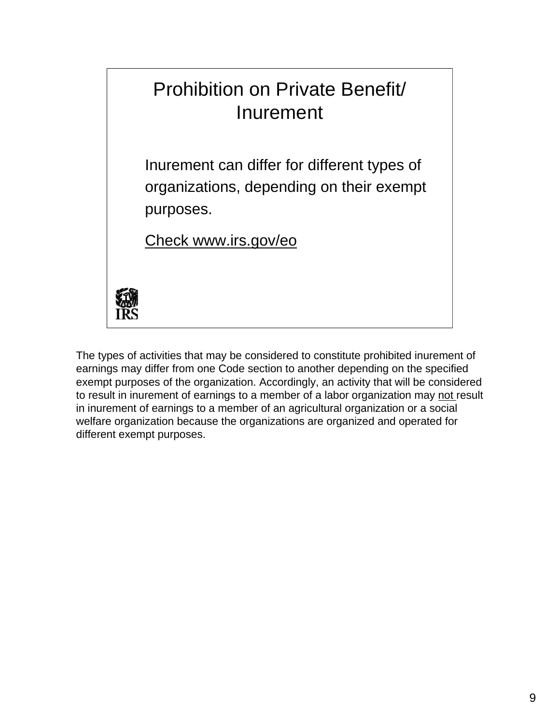# Prohibition on Private Benefit/ Inurement

Inurement can differ for different types of organizations, depending on their exempt purposes.

Check www.irs.gov/eo



The types of activities that may be considered to constitute prohibited inurement of earnings may differ from one Code section to another depending on the specified exempt purposes of the organization. Accordingly, an activity that will be considered to result in inurement of earnings to a member of a labor organization may not result in inurement of earnings to a member of an agricultural organization or a social welfare organization because the organizations are organized and operated for different exempt purposes.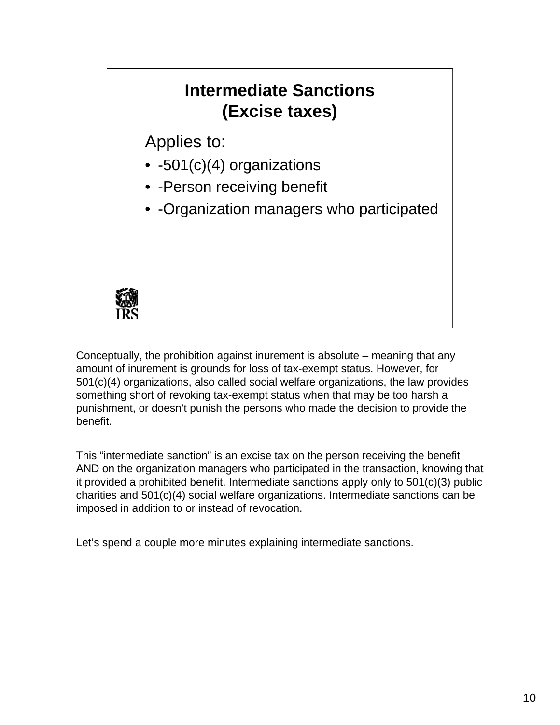### **Intermediate Sanctions (Excise taxes)**

Applies to:

- -501(c)(4) organizations
- -Person receiving benefit
- -Organization managers who participated



Conceptually, the prohibition against inurement is absolute – meaning that any amount of inurement is grounds for loss of tax-exempt status. However, for 501(c)(4) organizations, also called social welfare organizations, the law provides something short of revoking tax-exempt status when that may be too harsh a punishment, or doesn't punish the persons who made the decision to provide the benefit.

This "intermediate sanction" is an excise tax on the person receiving the benefit AND on the organization managers who participated in the transaction, knowing that it provided a prohibited benefit. Intermediate sanctions apply only to 501(c)(3) public charities and 501(c)(4) social welfare organizations. Intermediate sanctions can be imposed in addition to or instead of revocation.

Let's spend a couple more minutes explaining intermediate sanctions.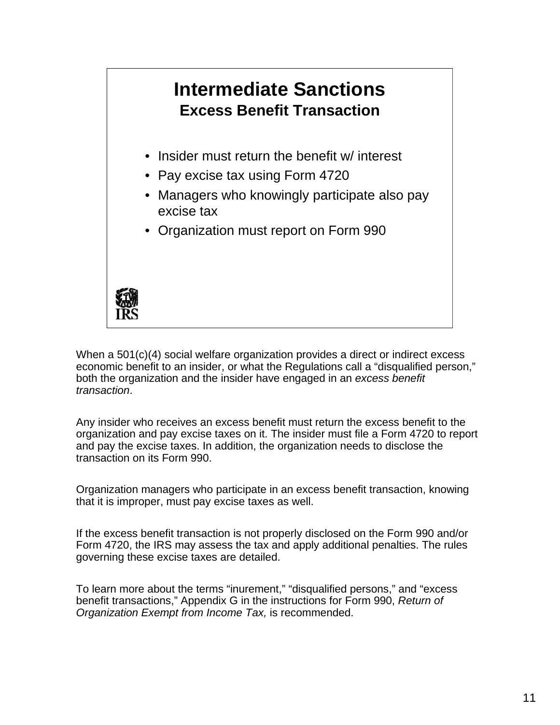

When a 501(c)(4) social welfare organization provides a direct or indirect excess economic benefit to an insider, or what the Regulations call a "disqualified person," both the organization and the insider have engaged in an *excess benefit transaction*.

Any insider who receives an excess benefit must return the excess benefit to the organization and pay excise taxes on it. The insider must file a Form 4720 to report and pay the excise taxes. In addition, the organization needs to disclose the transaction on its Form 990.

Organization managers who participate in an excess benefit transaction, knowing that it is improper, must pay excise taxes as well.

If the excess benefit transaction is not properly disclosed on the Form 990 and/or Form 4720, the IRS may assess the tax and apply additional penalties. The rules governing these excise taxes are detailed.

To learn more about the terms "inurement," "disqualified persons," and "excess benefit transactions," Appendix G in the instructions for Form 990, *Return of Organization Exempt from Income Tax,* is recommended.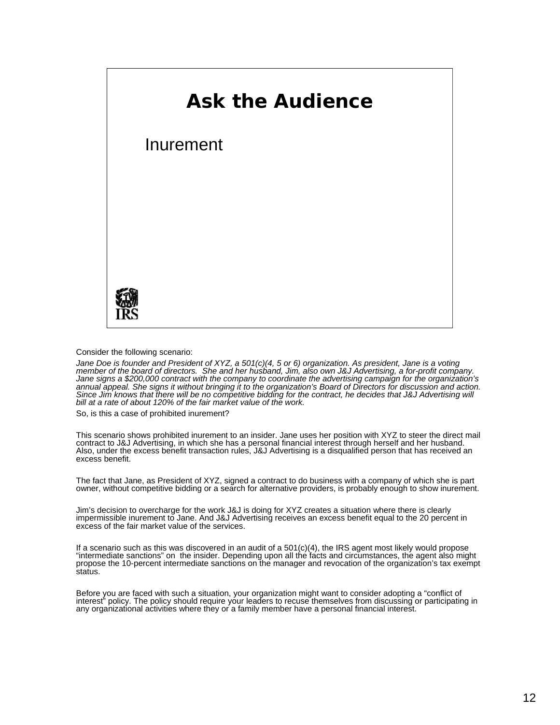

Consider the following scenario:

*Jane Doe is founder and President of XYZ, a 501(c)(4, 5 or 6) organization. As president, Jane is a voting*  member of the board of directors. She and her husband, Jim, also own J&J Advertising, a for-profit company.<br>Jane signs a \$200,000 contract with the company to coordinate the advertising campaign for the organization's *annual appeal. She signs it without bringing it to the organization's Board of Directors for discussion and action. Since Jim knows that there will be no competitive bidding for the contract, he decides that J&J Advertising will bill at a rate of about 120% of the fair market value of the work.* 

So, is this a case of prohibited inurement?

This scenario shows prohibited inurement to an insider. Jane uses her position with XYZ to steer the direct mail contract to J&J Advertising, in which she has a personal financial interest through herself and her husband. Also, under the excess benefit transaction rules, J&J Advertising is a disqualified person that has received an excess benefit.

The fact that Jane, as President of XYZ, signed a contract to do business with a company of which she is part owner, without competitive bidding or a search for alternative providers, is probably enough to show inurement.

Jim's decision to overcharge for the work J&J is doing for XYZ creates a situation where there is clearly impermissible inurement to Jane. And J&J Advertising receives an excess benefit equal to the 20 percent in excess of the fair market value of the services.

If a scenario such as this was discovered in an audit of a 501(c)(4), the IRS agent most likely would propose "intermediate sanctions" on the insider. Depending upon all the facts and circumstances, the agent also might propose the 10-percent intermediate sanctions on the manager and revocation of the organization's tax exempt status.

Before you are faced with such a situation, your organization might want to consider adopting a "conflict of interest" policy. The policy should require your leaders to recuse themselves from discussing or participating in any organizational activities where they or a family member have a personal financial interest.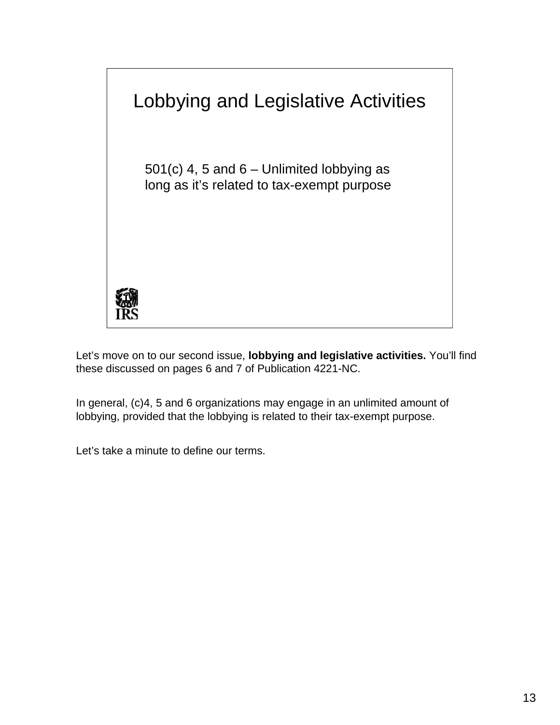

Let's move on to our second issue, **lobbying and legislative activities.** You'll find these discussed on pages 6 and 7 of Publication 4221-NC.

In general, (c)4, 5 and 6 organizations may engage in an unlimited amount of lobbying, provided that the lobbying is related to their tax-exempt purpose.

Let's take a minute to define our terms.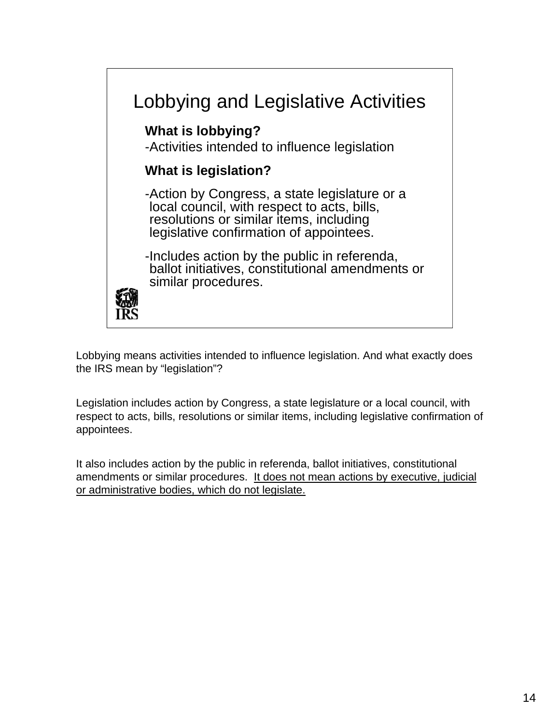

Lobbying means activities intended to influence legislation. And what exactly does the IRS mean by "legislation"?

Legislation includes action by Congress, a state legislature or a local council, with respect to acts, bills, resolutions or similar items, including legislative confirmation of appointees.

It also includes action by the public in referenda, ballot initiatives, constitutional amendments or similar procedures. It does not mean actions by executive, judicial or administrative bodies, which do not legislate.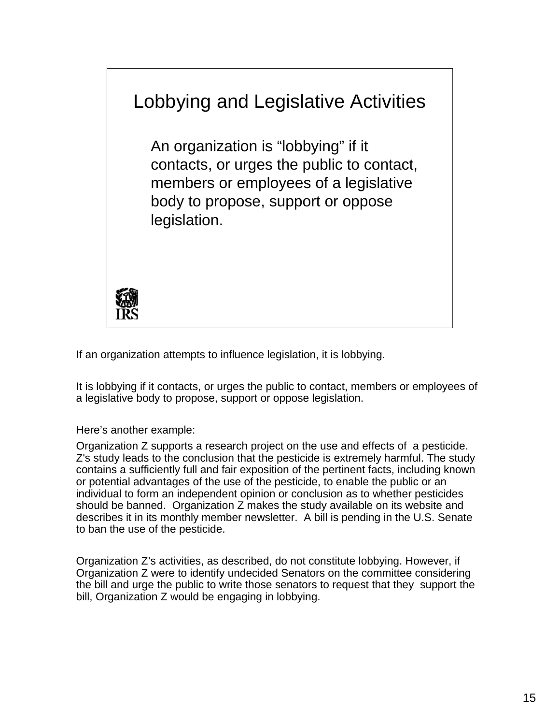

If an organization attempts to influence legislation, it is lobbying.

It is lobbying if it contacts, or urges the public to contact, members or employees of a legislative body to propose, support or oppose legislation.

Here's another example:

Organization Z supports a research project on the use and effects of a pesticide. Z's study leads to the conclusion that the pesticide is extremely harmful. The study contains a sufficiently full and fair exposition of the pertinent facts, including known or potential advantages of the use of the pesticide, to enable the public or an individual to form an independent opinion or conclusion as to whether pesticides should be banned. Organization Z makes the study available on its website and describes it in its monthly member newsletter. A bill is pending in the U.S. Senate to ban the use of the pesticide.

Organization Z's activities, as described, do not constitute lobbying. However, if Organization Z were to identify undecided Senators on the committee considering the bill and urge the public to write those senators to request that they support the bill, Organization Z would be engaging in lobbying.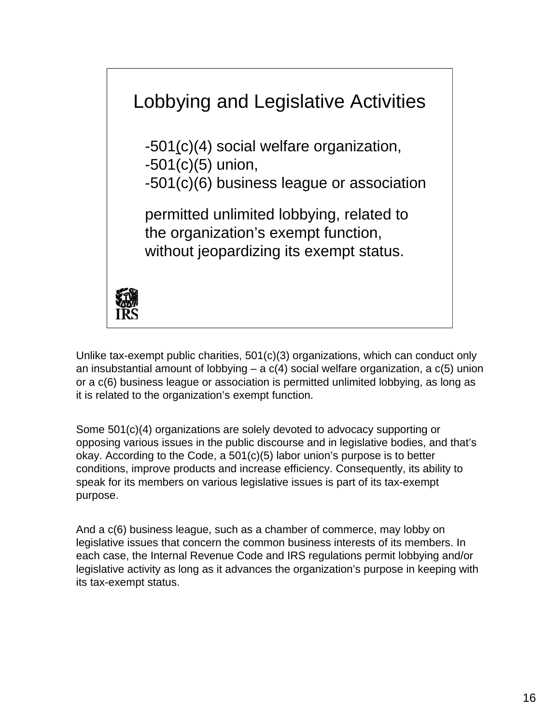

Unlike tax-exempt public charities, 501(c)(3) organizations, which can conduct only an insubstantial amount of lobbying  $-$  a  $c(4)$  social welfare organization, a  $c(5)$  union or a c(6) business league or association is permitted unlimited lobbying, as long as it is related to the organization's exempt function.

Some 501(c)(4) organizations are solely devoted to advocacy supporting or opposing various issues in the public discourse and in legislative bodies, and that's okay. According to the Code, a 501(c)(5) labor union's purpose is to better conditions, improve products and increase efficiency. Consequently, its ability to speak for its members on various legislative issues is part of its tax-exempt purpose.

And a c(6) business league, such as a chamber of commerce, may lobby on legislative issues that concern the common business interests of its members. In each case, the Internal Revenue Code and IRS regulations permit lobbying and/or legislative activity as long as it advances the organization's purpose in keeping with its tax-exempt status.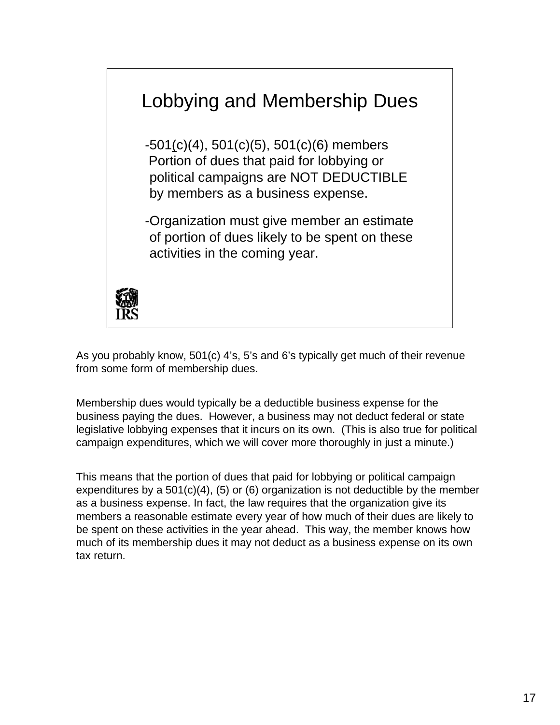

As you probably know, 501(c) 4's, 5's and 6's typically get much of their revenue from some form of membership dues.

Membership dues would typically be a deductible business expense for the business paying the dues. However, a business may not deduct federal or state legislative lobbying expenses that it incurs on its own. (This is also true for political campaign expenditures, which we will cover more thoroughly in just a minute.)

This means that the portion of dues that paid for lobbying or political campaign expenditures by a 501(c)(4), (5) or (6) organization is not deductible by the member as a business expense. In fact, the law requires that the organization give its members a reasonable estimate every year of how much of their dues are likely to be spent on these activities in the year ahead. This way, the member knows how much of its membership dues it may not deduct as a business expense on its own tax return.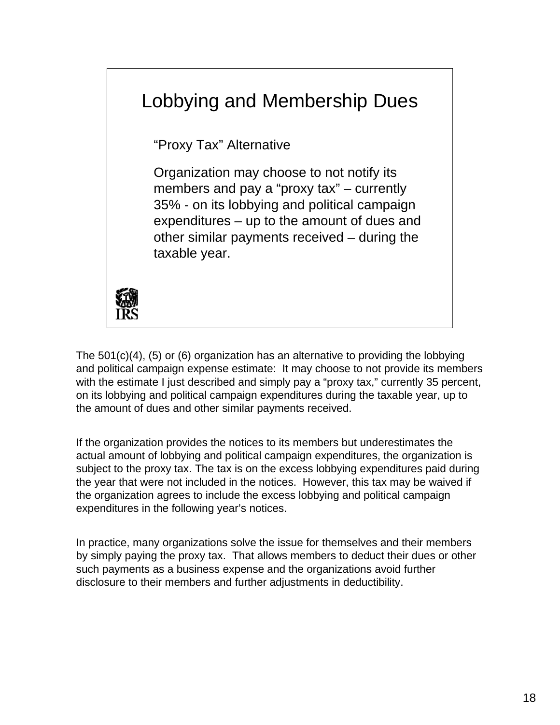

The 501(c)(4), (5) or (6) organization has an alternative to providing the lobbying and political campaign expense estimate: It may choose to not provide its members with the estimate I just described and simply pay a "proxy tax," currently 35 percent, on its lobbying and political campaign expenditures during the taxable year, up to the amount of dues and other similar payments received.

If the organization provides the notices to its members but underestimates the actual amount of lobbying and political campaign expenditures, the organization is subject to the proxy tax. The tax is on the excess lobbying expenditures paid during the year that were not included in the notices. However, this tax may be waived if the organization agrees to include the excess lobbying and political campaign expenditures in the following year's notices.

In practice, many organizations solve the issue for themselves and their members by simply paying the proxy tax. That allows members to deduct their dues or other such payments as a business expense and the organizations avoid further disclosure to their members and further adjustments in deductibility.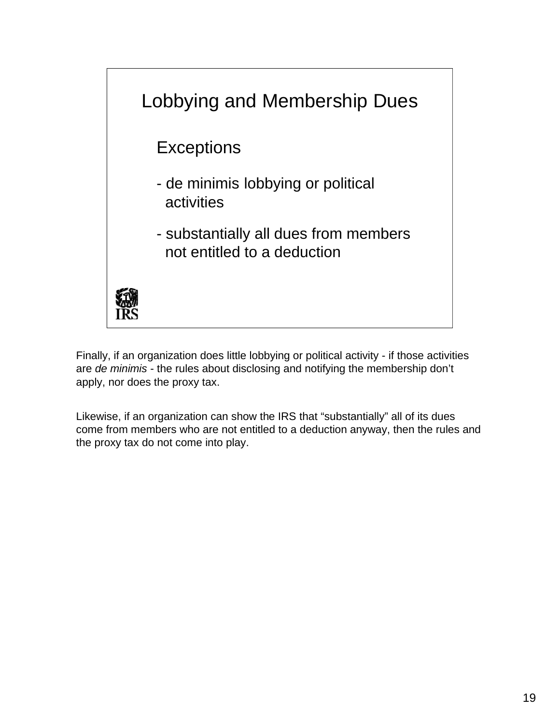

Finally, if an organization does little lobbying or political activity - if those activities are *de minimis* - the rules about disclosing and notifying the membership don't apply, nor does the proxy tax.

Likewise, if an organization can show the IRS that "substantially" all of its dues come from members who are not entitled to a deduction anyway, then the rules and the proxy tax do not come into play.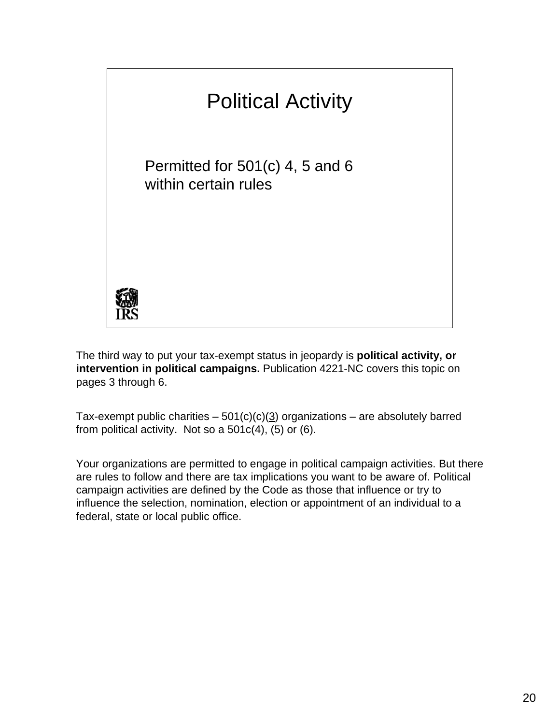

The third way to put your tax-exempt status in jeopardy is **political activity, or intervention in political campaigns.** Publication 4221-NC covers this topic on pages 3 through 6.

Tax-exempt public charities –  $501(c)(c)(3)$  organizations – are absolutely barred from political activity. Not so a  $501c(4)$ , (5) or (6).

Your organizations are permitted to engage in political campaign activities. But there are rules to follow and there are tax implications you want to be aware of. Political campaign activities are defined by the Code as those that influence or try to influence the selection, nomination, election or appointment of an individual to a federal, state or local public office.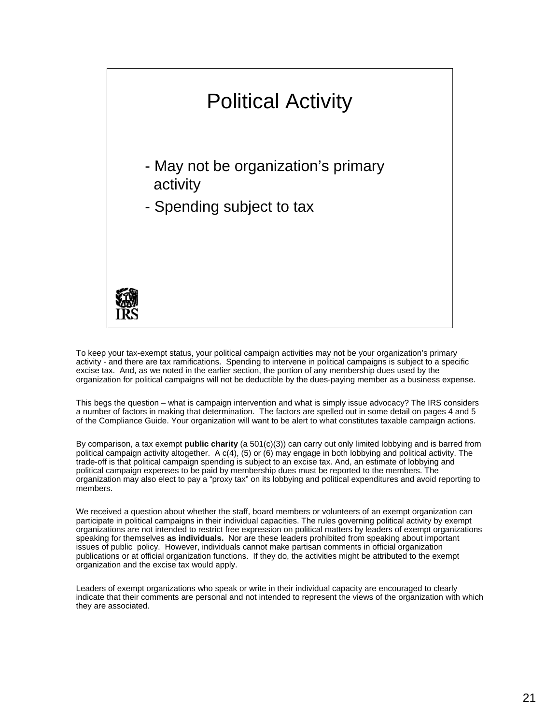

To keep your tax-exempt status, your political campaign activities may not be your organization's primary activity - and there are tax ramifications. Spending to intervene in political campaigns is subject to a specific excise tax. And, as we noted in the earlier section, the portion of any membership dues used by the organization for political campaigns will not be deductible by the dues-paying member as a business expense.

This begs the question – what is campaign intervention and what is simply issue advocacy? The IRS considers a number of factors in making that determination. The factors are spelled out in some detail on pages 4 and 5 of the Compliance Guide. Your organization will want to be alert to what constitutes taxable campaign actions.

By comparison, a tax exempt **public charity** (a 501(c)(3)) can carry out only limited lobbying and is barred from political campaign activity altogether. A c(4), (5) or (6) may engage in both lobbying and political activity. The trade-off is that political campaign spending is subject to an excise tax. And, an estimate of lobbying and political campaign expenses to be paid by membership dues must be reported to the members. The organization may also elect to pay a "proxy tax" on its lobbying and political expenditures and avoid reporting to members.

 participate in political campaigns in their individual capacities. The rules governing political activity by exempt We received a question about whether the staff, board members or volunteers of an exempt organization can organizations are not intended to restrict free expression on political matters by leaders of exempt organizations speaking for themselves **as individuals.** Nor are these leaders prohibited from speaking about important issues of public policy. However, individuals cannot make partisan comments in official organization publications or at official organization functions. If they do, the activities might be attributed to the exempt organization and the excise tax would apply.

Leaders of exempt organizations who speak or write in their individual capacity are encouraged to clearly indicate that their comments are personal and not intended to represent the views of the organization with which they are associated.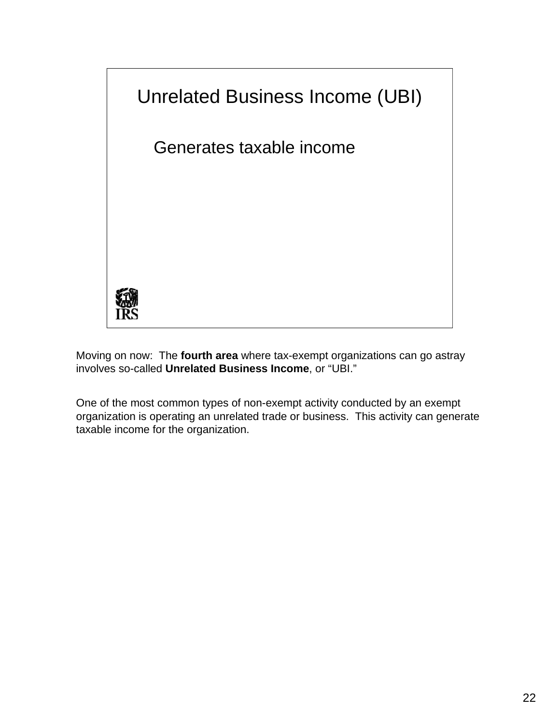

Moving on now: The **fourth area** where tax-exempt organizations can go astray involves so-called **Unrelated Business Income**, or "UBI."

One of the most common types of non-exempt activity conducted by an exempt organization is operating an unrelated trade or business. This activity can generate taxable income for the organization.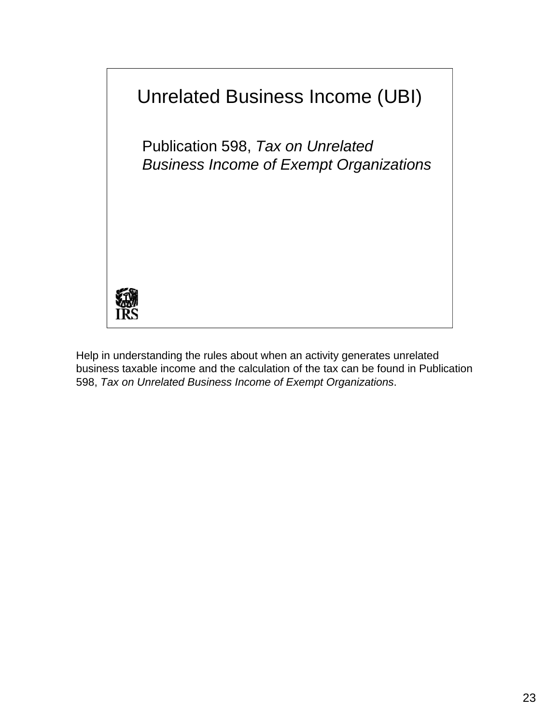

Help in understanding the rules about when an activity generates unrelated business taxable income and the calculation of the tax can be found in Publication 598, *Tax on Unrelated Business Income of Exempt Organizations*.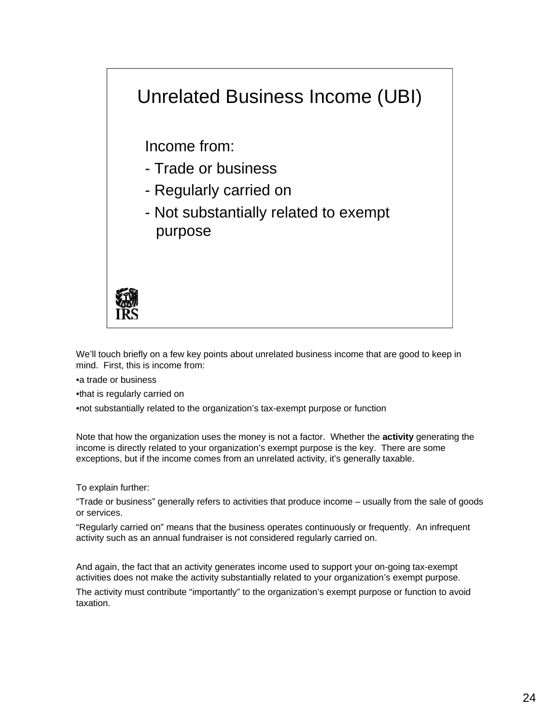## Unrelated Business Income (UBI)

Income from:

- Trade or business
- Regularly carried on
- Not substantially related to exempt purpose



We'll touch briefly on a few key points about unrelated business income that are good to keep in mind. First, this is income from:

•a trade or business

•that is regularly carried on

•not substantially related to the organization's tax-exempt purpose or function

 Note that how the organization uses the money is not a factor. Whether the **activity** generating the income is directly related to your organization's exempt purpose is the key. There are some exceptions, but if the income comes from an unrelated activity, it's generally taxable.

To explain further:

 "Trade or business" generally refers to activities that produce income – usually from the sale of goods or services.

"Regularly carried on" means that the business operates continuously or frequently. An infrequent activity such as an annual fundraiser is not considered regularly carried on.

 And again, the fact that an activity generates income used to support your on-going tax-exempt activities does not make the activity substantially related to your organization's exempt purpose.

 The activity must contribute "importantly" to the organization's exempt purpose or function to avoid taxation.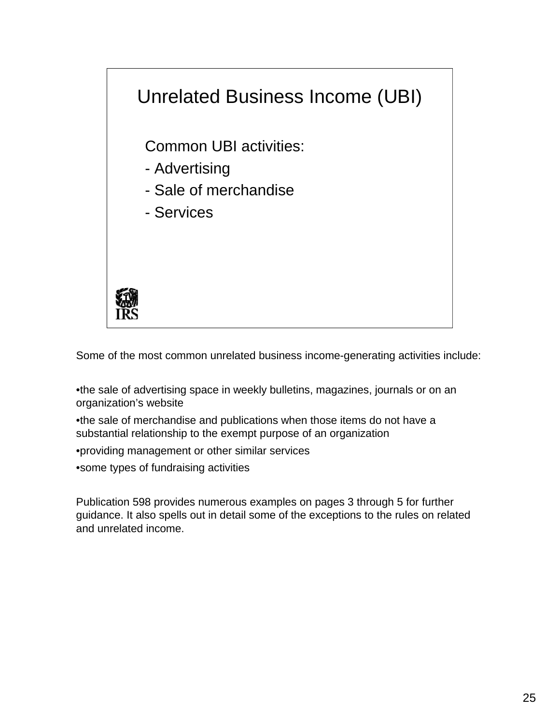

Some of the most common unrelated business income-generating activities include:

•the sale of advertising space in weekly bulletins, magazines, journals or on an organization's website

•the sale of merchandise and publications when those items do not have a substantial relationship to the exempt purpose of an organization

•providing management or other similar services

•some types of fundraising activities

Publication 598 provides numerous examples on pages 3 through 5 for further guidance. It also spells out in detail some of the exceptions to the rules on related and unrelated income.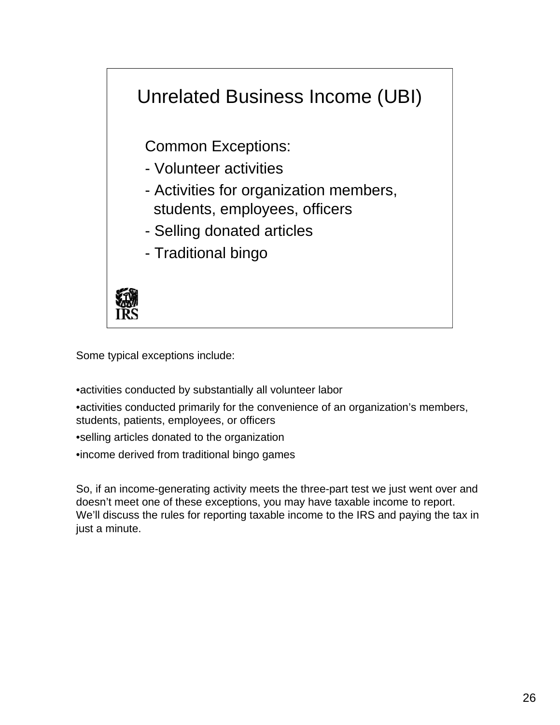

Some typical exceptions include:

•activities conducted by substantially all volunteer labor

•activities conducted primarily for the convenience of an organization's members, students, patients, employees, or officers

•selling articles donated to the organization

•income derived from traditional bingo games

So, if an income-generating activity meets the three-part test we just went over and doesn't meet one of these exceptions, you may have taxable income to report. We'll discuss the rules for reporting taxable income to the IRS and paying the tax in just a minute.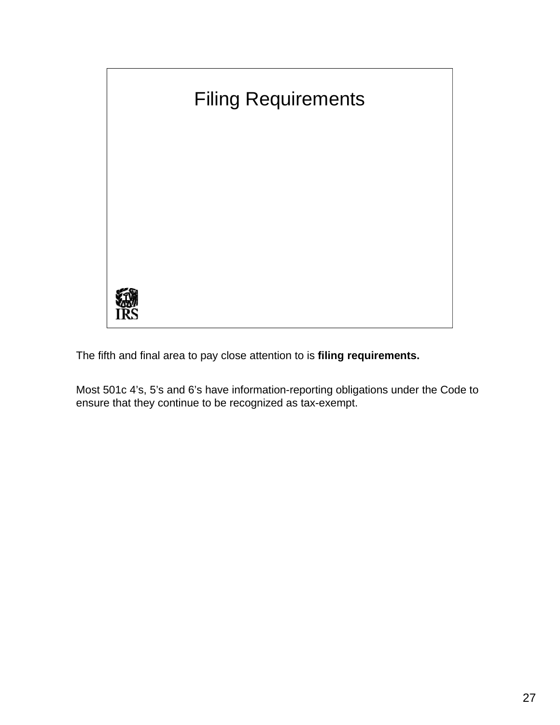

The fifth and final area to pay close attention to is **filing requirements.** 

Most 501c 4's, 5's and 6's have information-reporting obligations under the Code to ensure that they continue to be recognized as tax-exempt.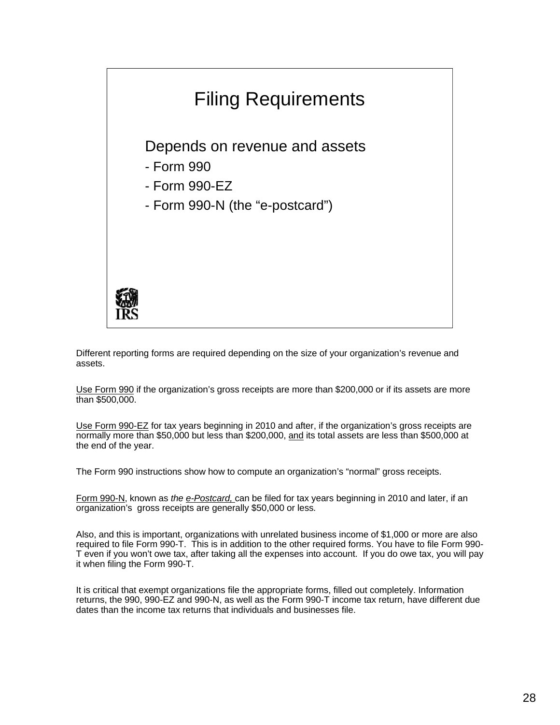

 Different reporting forms are required depending on the size of your organization's revenue and assets.

Use Form 990 if the organization's gross receipts are more than \$200,000 or if its assets are more than \$500,000.

Use Form 990-EZ for tax years beginning in 2010 and after, if the organization's gross receipts are normally more than \$50,000 but less than \$200,000, and its total assets are less than \$500,000 at the end of the year.

The Form 990 instructions show how to compute an organization's "normal" gross receipts.

Form 990-N, known as *the e-Postcard,* can be filed for tax years beginning in 2010 and later, if an organization's gross receipts are generally \$50,000 or less*.* 

 required to file Form 990-T. This is in addition to the other required forms. You have to file Form 990- T even if you won't owe tax, after taking all the expenses into account. If you do owe tax, you will pay Also, and this is important, organizations with unrelated business income of \$1,000 or more are also it when filing the Form 990-T.

 returns, the 990, 990-EZ and 990-N, as well as the Form 990-T income tax return, have different due It is critical that exempt organizations file the appropriate forms, filled out completely. Information dates than the income tax returns that individuals and businesses file.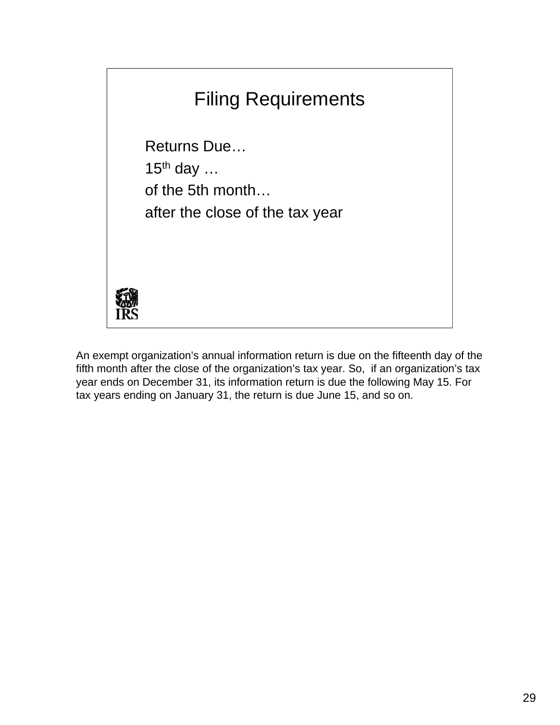

An exempt organization's annual information return is due on the fifteenth day of the fifth month after the close of the organization's tax year. So, if an organization's tax year ends on December 31, its information return is due the following May 15. For tax years ending on January 31, the return is due June 15, and so on.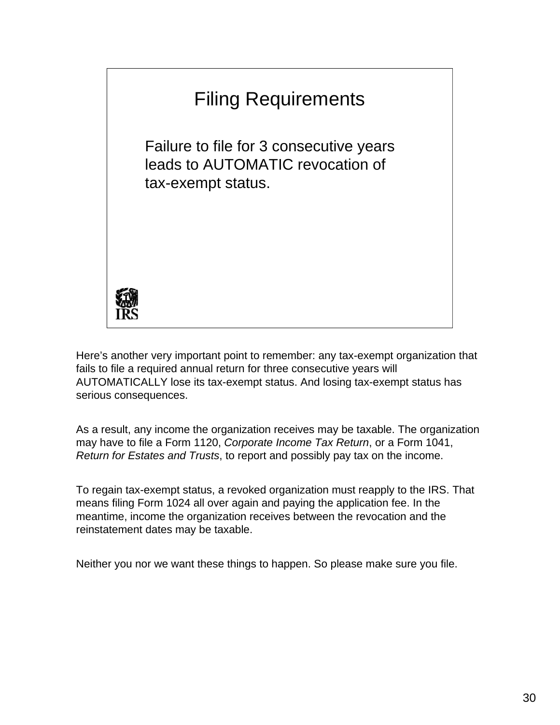

Here's another very important point to remember: any tax-exempt organization that fails to file a required annual return for three consecutive years will AUTOMATICALLY lose its tax-exempt status. And losing tax-exempt status has serious consequences.

As a result, any income the organization receives may be taxable. The organization may have to file a Form 1120, *Corporate Income Tax Return*, or a Form 1041, *Return for Estates and Trusts*, to report and possibly pay tax on the income.

To regain tax-exempt status, a revoked organization must reapply to the IRS. That means filing Form 1024 all over again and paying the application fee. In the meantime, income the organization receives between the revocation and the reinstatement dates may be taxable.

Neither you nor we want these things to happen. So please make sure you file.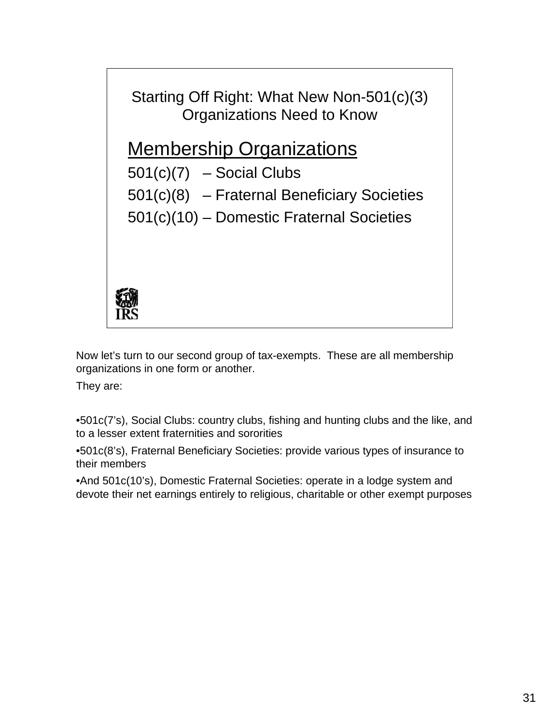Starting Off Right: What New Non-501(c)(3) Organizations Need to Know

### Membership Organizations

 $501(c)(7)$  – Social Clubs

501(c)(8) – Fraternal Beneficiary Societies

501(c)(10) – Domestic Fraternal Societies



Now let's turn to our second group of tax-exempts. These are all membership organizations in one form or another.

They are:

•501c(7's), Social Clubs: country clubs, fishing and hunting clubs and the like, and to a lesser extent fraternities and sororities

•501c(8's), Fraternal Beneficiary Societies: provide various types of insurance to their members

•And 501c(10's), Domestic Fraternal Societies: operate in a lodge system and devote their net earnings entirely to religious, charitable or other exempt purposes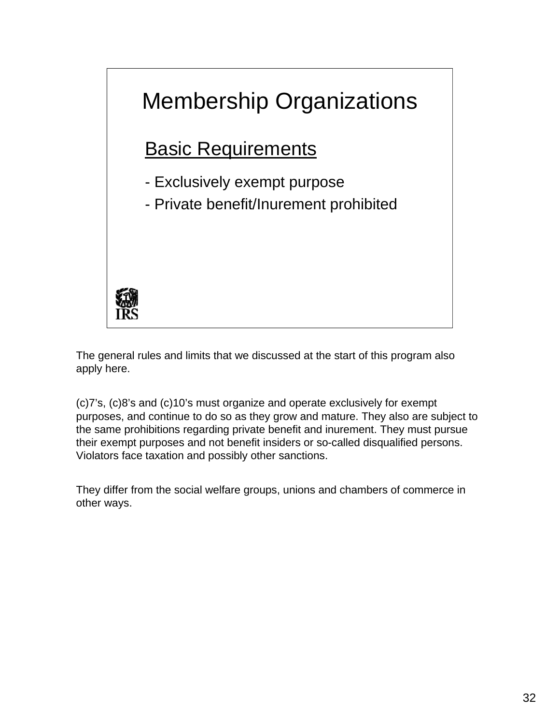

The general rules and limits that we discussed at the start of this program also apply here.

(c)7's, (c)8's and (c)10's must organize and operate exclusively for exempt purposes, and continue to do so as they grow and mature. They also are subject to the same prohibitions regarding private benefit and inurement. They must pursue their exempt purposes and not benefit insiders or so-called disqualified persons. Violators face taxation and possibly other sanctions.

They differ from the social welfare groups, unions and chambers of commerce in other ways.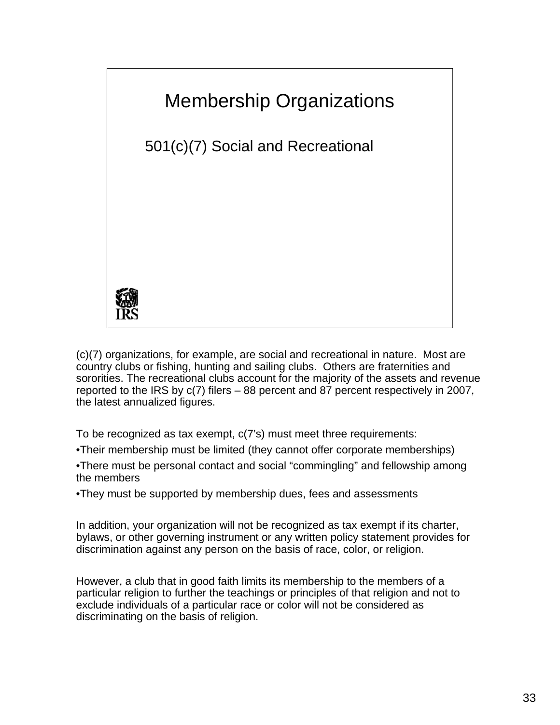

(c)(7) organizations, for example, are social and recreational in nature. Most are country clubs or fishing, hunting and sailing clubs. Others are fraternities and sororities. The recreational clubs account for the majority of the assets and revenue reported to the IRS by c(7) filers – 88 percent and 87 percent respectively in 2007, the latest annualized figures.

To be recognized as tax exempt, c(7's) must meet three requirements:

•Their membership must be limited (they cannot offer corporate memberships)

•There must be personal contact and social "commingling" and fellowship among the members

•They must be supported by membership dues, fees and assessments

In addition, your organization will not be recognized as tax exempt if its charter, bylaws, or other governing instrument or any written policy statement provides for discrimination against any person on the basis of race, color, or religion.

However, a club that in good faith limits its membership to the members of a particular religion to further the teachings or principles of that religion and not to exclude individuals of a particular race or color will not be considered as discriminating on the basis of religion.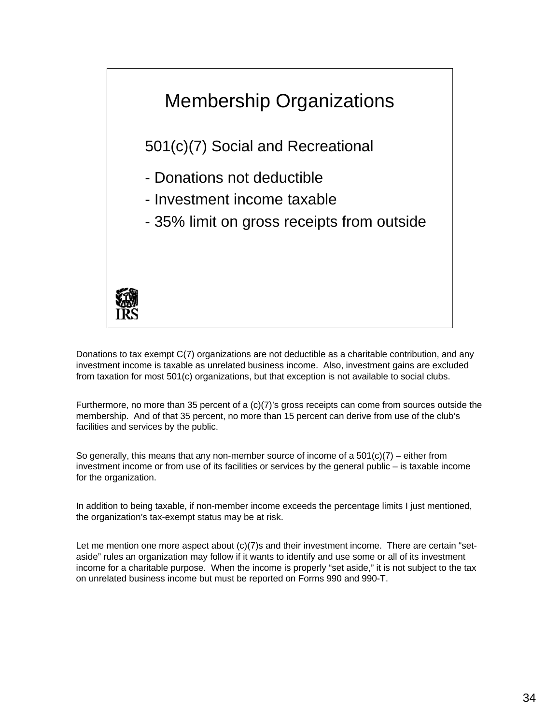

 investment income is taxable as unrelated business income. Also, investment gains are excluded from taxation for most 501(c) organizations, but that exception is not available to social clubs. Donations to tax exempt C(7) organizations are not deductible as a charitable contribution, and any

Furthermore, no more than 35 percent of a (c)(7)'s gross receipts can come from sources outside the membership. And of that 35 percent, no more than 15 percent can derive from use of the club's facilities and services by the public.

So generally, this means that any non-member source of income of a  $501(c)(7)$  – either from investment income or from use of its facilities or services by the general public – is taxable income for the organization.

 In addition to being taxable, if non-member income exceeds the percentage limits I just mentioned, the organization's tax-exempt status may be at risk.

 income for a charitable purpose. When the income is properly "set aside," it is not subject to the tax Let me mention one more aspect about (c)(7)s and their investment income. There are certain "setaside" rules an organization may follow if it wants to identify and use some or all of its investment on unrelated business income but must be reported on Forms 990 and 990-T.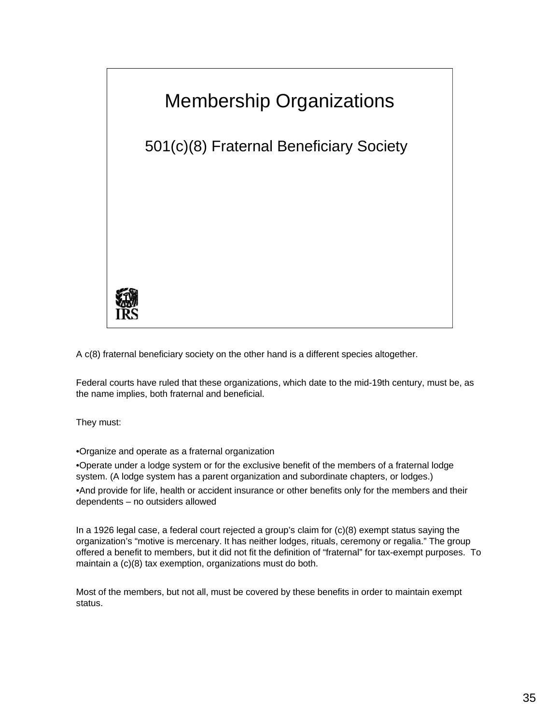

A c(8) fraternal beneficiary society on the other hand is a different species altogether.

Federal courts have ruled that these organizations, which date to the mid-19th century, must be, as the name implies, both fraternal and beneficial.

They must:

•Organize and operate as a fraternal organization

 •Operate under a lodge system or for the exclusive benefit of the members of a fraternal lodge system. (A lodge system has a parent organization and subordinate chapters, or lodges.)

•And provide for life, health or accident insurance or other benefits only for the members and their dependents – no outsiders allowed

 In a 1926 legal case, a federal court rejected a group's claim for (c)(8) exempt status saying the organization's "motive is mercenary. It has neither lodges, rituals, ceremony or regalia." The group offered a benefit to members, but it did not fit the definition of "fraternal" for tax-exempt purposes. To maintain a (c)(8) tax exemption, organizations must do both.

Most of the members, but not all, must be covered by these benefits in order to maintain exempt status.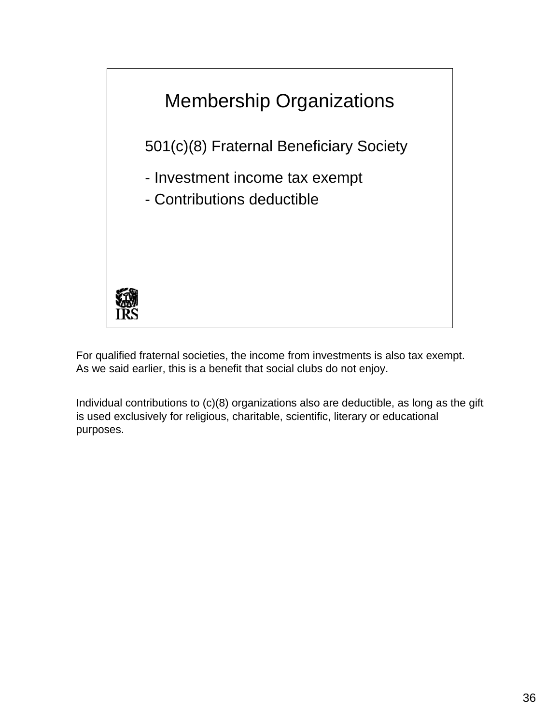

For qualified fraternal societies, the income from investments is also tax exempt. As we said earlier, this is a benefit that social clubs do not enjoy.

Individual contributions to (c)(8) organizations also are deductible, as long as the gift is used exclusively for religious, charitable, scientific, literary or educational purposes.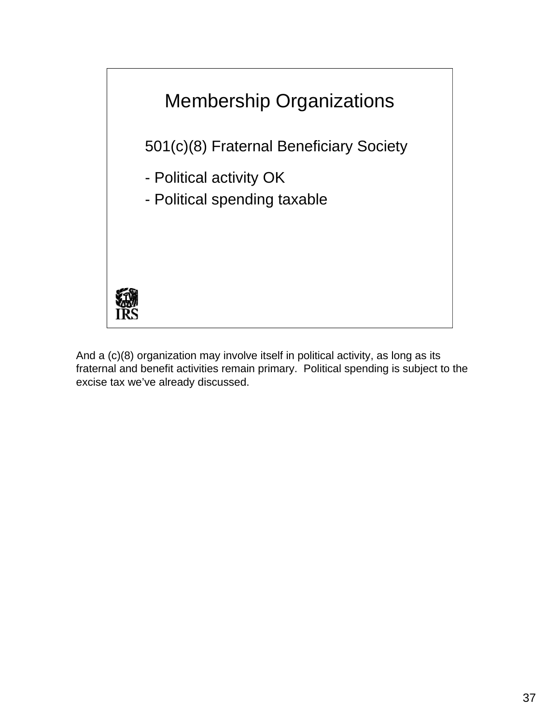

And a (c)(8) organization may involve itself in political activity, as long as its fraternal and benefit activities remain primary. Political spending is subject to the excise tax we've already discussed.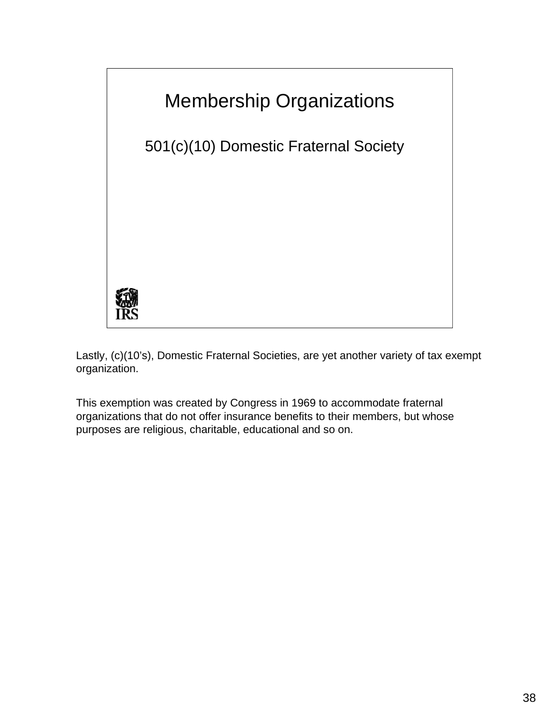

Lastly, (c)(10's), Domestic Fraternal Societies, are yet another variety of tax exempt organization.

This exemption was created by Congress in 1969 to accommodate fraternal organizations that do not offer insurance benefits to their members, but whose purposes are religious, charitable, educational and so on.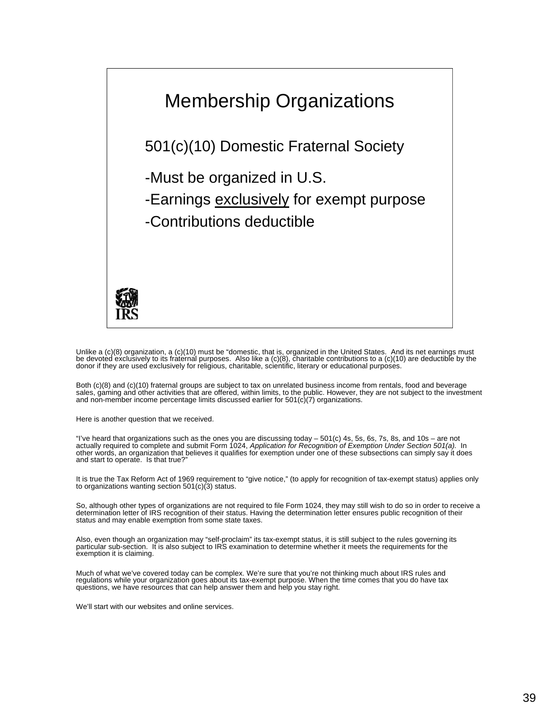

I Unlike a (c)(8) organization, a (c)(10) must be "domestic, that is, organized in the United States. And its net earnings must<br>be devoted exclusively to its fraternal purposes. Also like a (c)(8), charitable contributions

 Both (c)(8) and (c)(10) fraternal groups are subject to tax on unrelated business income from rentals, food and beverage sales, gaming and other activities that are offered, within limits, to the public. However, they are not subject to the investment<br>and non-member income percentage limits discussed earlier for 501(c)(7) organizations.

Here is another question that we received.

"I've heard that organizations such as the ones you are discussing today – 501(c) 4s, 5s, 6s, 7s, 8s, and 10s – are not<br>actually required to complete and submit Form 1024, *Application for Recognition of Exemption Under Se* and start to operate. Is that true?"

It is true the Tax Reform Act of 1969 requirement to "give notice," (to apply for recognition of tax-exempt status) applies only to organizations wanting section 501(c)(3) status.

So, although other types of organizations are not required to file Form 1024, they may still wish to do so in order to receive a So, although other types of organizations are not required to file Form 1024, they may still wish to do so in order to receive a<br>determination letter of IRS recognition of their status. Having the determination letter ensu

Also, even though an organization may "self-proclaim" its tax-exempt status, it is still subject to the rules governing its<br>particular sub-section. It is also subject to IRS examination to determine whether it meets the re exemption it is claiming.

 Much of what we've covered today can be complex. We're sure that you're not thinking much about IRS rules and regulations while your organization goes about its tax-exempt purpose. When the time comes that you do have tax questions, we have resources that can help answer them and help you stay right.

We'll start with our websites and online services.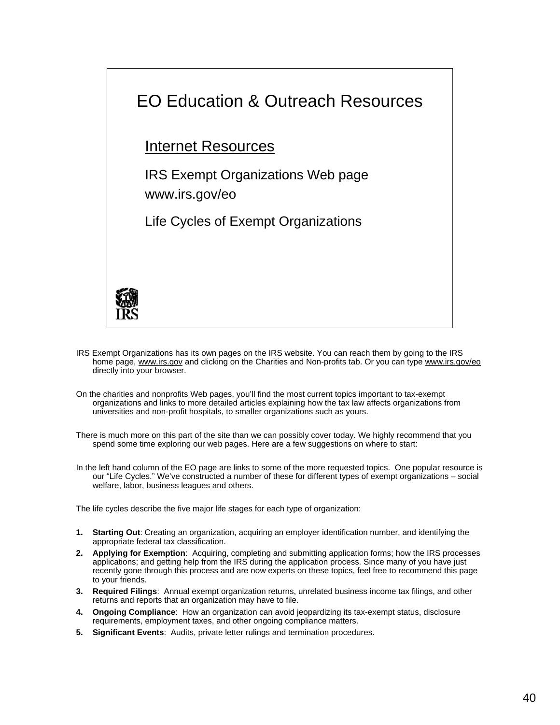

- IRS Exempt Organizations has its own pages on the IRS website. You can reach them by going to the IRS home page, www.irs.gov and clicking on the Charities and Non-profits tab. Or you can type www.irs.gov/eo directly into your browser.
- On the charities and nonprofits Web pages, you'll find the most current topics important to tax-exempt organizations and links to more detailed articles explaining how the tax law affects organizations from universities and non-profit hospitals, to smaller organizations such as yours.

There is much more on this part of the site than we can possibly cover today. We highly recommend that you spend some time exploring our web pages. Here are a few suggestions on where to start:

In the left hand column of the EO page are links to some of the more requested topics. One popular resource is our "Life Cycles." We've constructed a number of these for different types of exempt organizations – social welfare, labor, business leagues and others.

The life cycles describe the five major life stages for each type of organization:

- **1. Starting Out**: Creating an organization, acquiring an employer identification number, and identifying the appropriate federal tax classification.
- **2. Applying for Exemption**: Acquiring, completing and submitting application forms; how the IRS processes applications; and getting help from the IRS during the application process. Since many of you have just recently gone through this process and are now experts on these topics, feel free to recommend this page to your friends.
- **3. Required Filings**: Annual exempt organization returns, unrelated business income tax filings, and other returns and reports that an organization may have to file.
- **4. Ongoing Compliance**: How an organization can avoid jeopardizing its tax-exempt status, disclosure requirements, employment taxes, and other ongoing compliance matters.
- **5. Significant Events**: Audits, private letter rulings and termination procedures.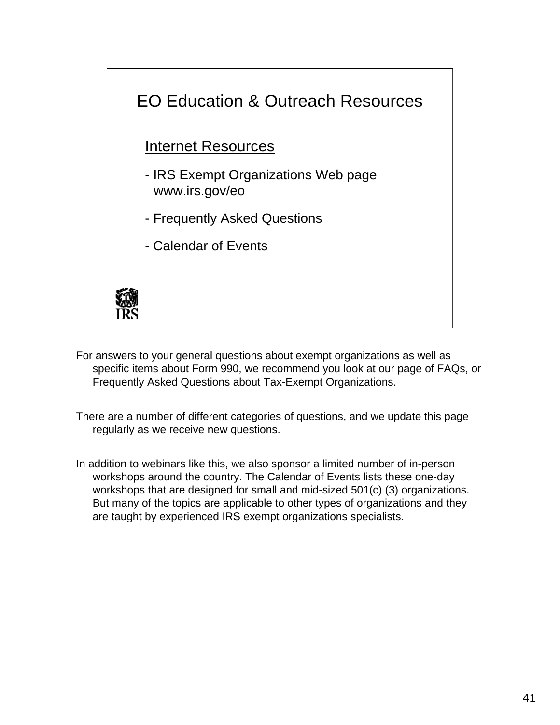

For answers to your general questions about exempt organizations as well as specific items about Form 990, we recommend you look at our page of FAQs, or Frequently Asked Questions about Tax-Exempt Organizations.

There are a number of different categories of questions, and we update this page regularly as we receive new questions.

In addition to webinars like this, we also sponsor a limited number of in-person workshops around the country. The Calendar of Events lists these one-day workshops that are designed for small and mid-sized 501(c) (3) organizations. But many of the topics are applicable to other types of organizations and they are taught by experienced IRS exempt organizations specialists.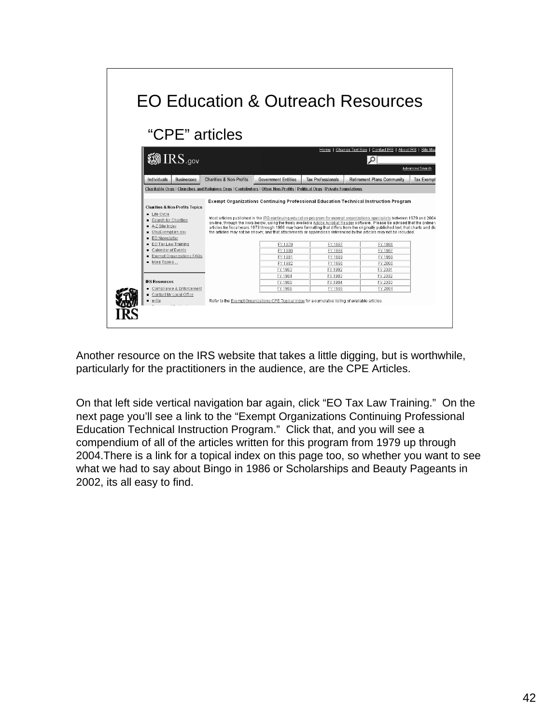| "CPE" articles                                                                                                          |                                    |                            |                          |                                                                                                                                                                                                                                                                                                                                                                                                                                                                                                                            |                   |
|-------------------------------------------------------------------------------------------------------------------------|------------------------------------|----------------------------|--------------------------|----------------------------------------------------------------------------------------------------------------------------------------------------------------------------------------------------------------------------------------------------------------------------------------------------------------------------------------------------------------------------------------------------------------------------------------------------------------------------------------------------------------------------|-------------------|
|                                                                                                                         |                                    |                            | Home 1                   | Change Text Size   Contact IRS   About IRS   Site Mar                                                                                                                                                                                                                                                                                                                                                                                                                                                                      |                   |
| <b>@IRS.gov</b>                                                                                                         |                                    |                            |                          | Ω                                                                                                                                                                                                                                                                                                                                                                                                                                                                                                                          |                   |
|                                                                                                                         |                                    |                            |                          |                                                                                                                                                                                                                                                                                                                                                                                                                                                                                                                            | Advanced Search   |
| Individuals<br><b>Businesses</b>                                                                                        | <b>Charities &amp; Non-Profits</b> | <b>Government Entities</b> | <b>Tax Professionals</b> | <b>Retirement Plans Community</b>                                                                                                                                                                                                                                                                                                                                                                                                                                                                                          | <b>Tax Exempt</b> |
| Charitable Orgs   Churches and Religious Orgs   Contributors   Other Non-Profits   Political Orgs   Private Foundations |                                    |                            |                          |                                                                                                                                                                                                                                                                                                                                                                                                                                                                                                                            |                   |
| <b>Charities &amp; Non-Profits Topics</b><br>Life Cycle                                                                 |                                    |                            |                          | Exempt Organizations Continuing Professional Education Technical Instruction Program                                                                                                                                                                                                                                                                                                                                                                                                                                       |                   |
| ■ Search for Charities<br>A-Z Site Index<br>■ StavExempt.irs.gov                                                        |                                    |                            |                          | Most articles published in the IRS continuing education program for exempt organizations specialists between 1979 and 2004<br>on-line, through the links below, using the freely available Adobe Acrobat Reader software. Please be advised that the online y<br>articles for fiscal years 1979 through 1996 may have formatting that differs from the originally published text; that charts and dia<br>the articles may not be shown; and that attachments or appendices referenced by the articles may not be included. |                   |
| <b>EO</b> Newsletter<br><b>EO</b> Tax Law Training                                                                      |                                    | FY 1979                    | FY 1987                  | FY 1996                                                                                                                                                                                                                                                                                                                                                                                                                                                                                                                    |                   |
| Calendar of Events                                                                                                      |                                    | FY 1980                    | FY 1988                  | FY 1997                                                                                                                                                                                                                                                                                                                                                                                                                                                                                                                    |                   |
| Exempt Organizations FAQs                                                                                               |                                    | FY 1981                    | FY 1989                  | FY 1999                                                                                                                                                                                                                                                                                                                                                                                                                                                                                                                    |                   |
| More Topics                                                                                                             |                                    | FY 1982                    | FY 1990                  | FY 2000                                                                                                                                                                                                                                                                                                                                                                                                                                                                                                                    |                   |
|                                                                                                                         |                                    | FY 1983                    | FY 1992                  | FY 2001                                                                                                                                                                                                                                                                                                                                                                                                                                                                                                                    |                   |
|                                                                                                                         |                                    | FY 1984                    | FY 1993                  | FY 2002                                                                                                                                                                                                                                                                                                                                                                                                                                                                                                                    |                   |
| <b>IRS Resources</b>                                                                                                    |                                    | FY 1985                    | FY 1994                  | FY 2003                                                                                                                                                                                                                                                                                                                                                                                                                                                                                                                    |                   |
| Compliance & Enforcement<br>Contact My Local Office                                                                     |                                    | FY 1986                    | FY 1995                  | FY 2004                                                                                                                                                                                                                                                                                                                                                                                                                                                                                                                    |                   |

Another resource on the IRS website that takes a little digging, but is worthwhile, particularly for the practitioners in the audience, are the CPE Articles.

On that left side vertical navigation bar again, click "EO Tax Law Training." On the next page you'll see a link to the "Exempt Organizations Continuing Professional Education Technical Instruction Program." Click that, and you will see a compendium of all of the articles written for this program from 1979 up through 2004.There is a link for a topical index on this page too, so whether you want to see what we had to say about Bingo in 1986 or Scholarships and Beauty Pageants in 2002, its all easy to find.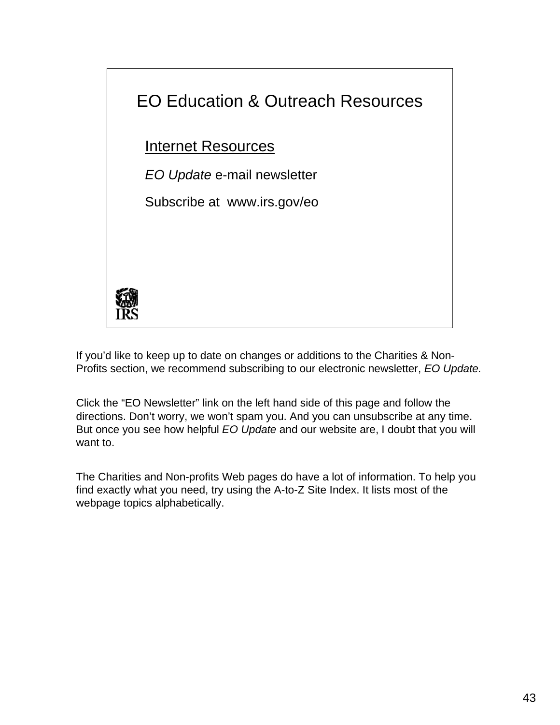

If you'd like to keep up to date on changes or additions to the Charities & Non-Profits section, we recommend subscribing to our electronic newsletter, *EO Update.* 

Click the "EO Newsletter" link on the left hand side of this page and follow the directions. Don't worry, we won't spam you. And you can unsubscribe at any time. But once you see how helpful *EO Update* and our website are, I doubt that you will want to.

The Charities and Non-profits Web pages do have a lot of information. To help you find exactly what you need, try using the A-to-Z Site Index. It lists most of the webpage topics alphabetically.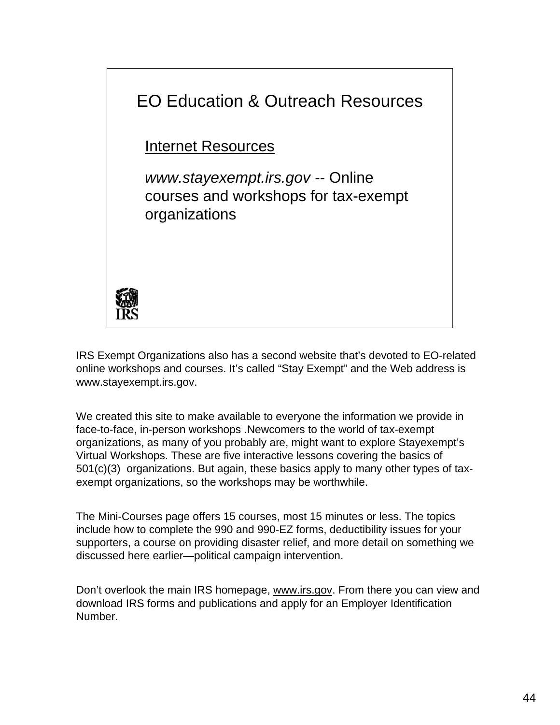

IRS Exempt Organizations also has a second website that's devoted to EO-related online workshops and courses. It's called "Stay Exempt" and the Web address is www.stayexempt.irs.gov.

We created this site to make available to everyone the information we provide in face-to-face, in-person workshops .Newcomers to the world of tax-exempt organizations, as many of you probably are, might want to explore Stayexempt's Virtual Workshops. These are five interactive lessons covering the basics of 501(c)(3) organizations. But again, these basics apply to many other types of taxexempt organizations, so the workshops may be worthwhile.

The Mini-Courses page offers 15 courses, most 15 minutes or less. The topics include how to complete the 990 and 990-EZ forms, deductibility issues for your supporters, a course on providing disaster relief, and more detail on something we discussed here earlier—political campaign intervention.

Don't overlook the main IRS homepage, www.irs.gov. From there you can view and download IRS forms and publications and apply for an Employer Identification Number.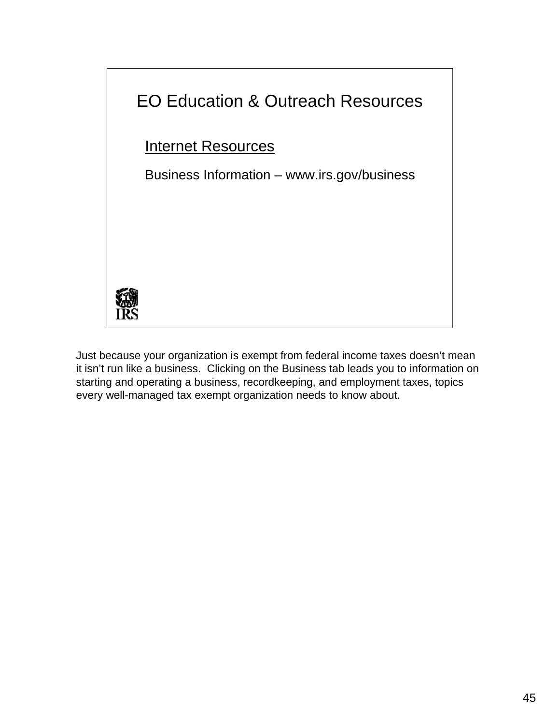

Just because your organization is exempt from federal income taxes doesn't mean it isn't run like a business. Clicking on the Business tab leads you to information on starting and operating a business, recordkeeping, and employment taxes, topics every well-managed tax exempt organization needs to know about.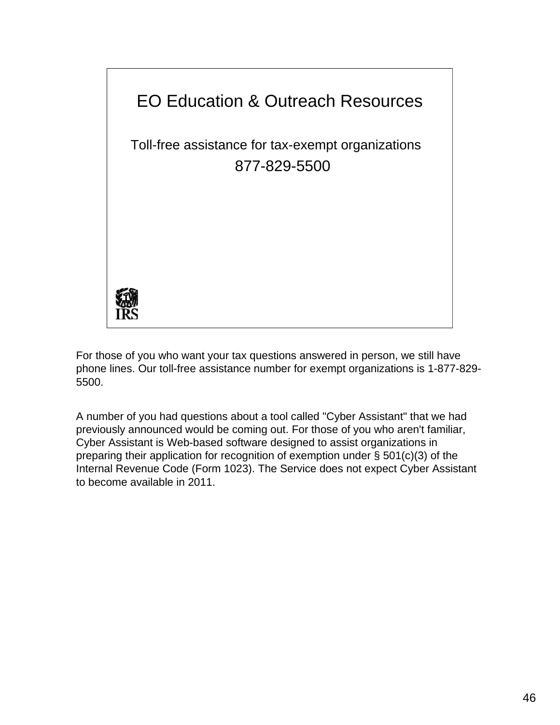

For those of you who want your tax questions answered in person, we still have phone lines. Our toll-free assistance number for exempt organizations is 1-877-829- 5500.

A number of you had questions about a tool called "Cyber Assistant" that we had previously announced would be coming out. For those of you who aren't familiar, Cyber Assistant is Web-based software designed to assist organizations in preparing their application for recognition of exemption under § 501(c)(3) of the Internal Revenue Code (Form 1023). The Service does not expect Cyber Assistant to become available in 2011.